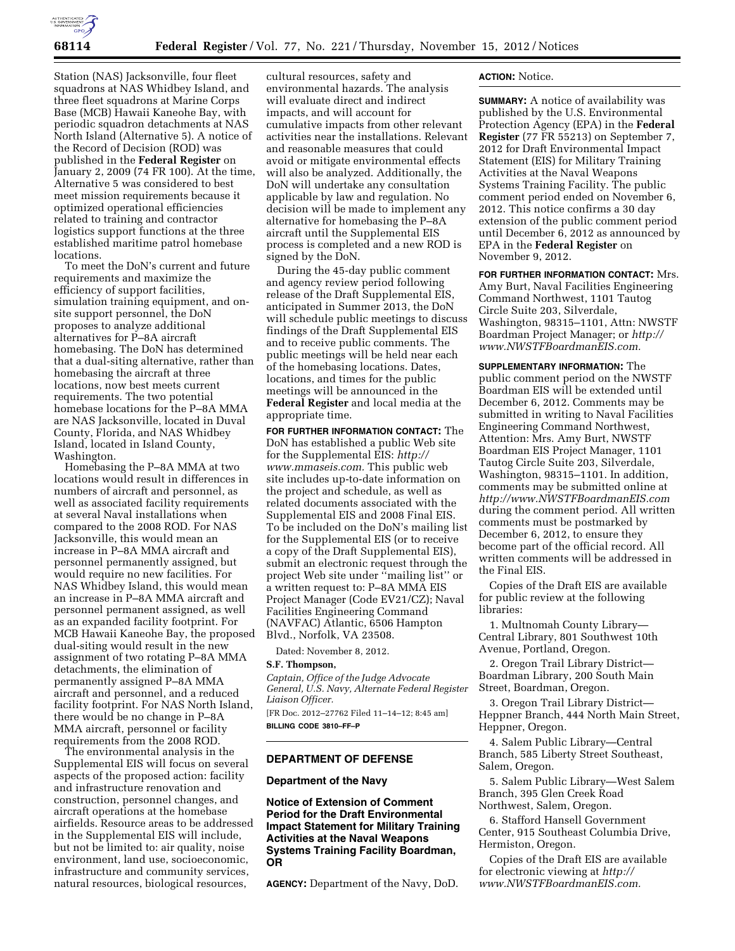

Station (NAS) Jacksonville, four fleet squadrons at NAS Whidbey Island, and three fleet squadrons at Marine Corps Base (MCB) Hawaii Kaneohe Bay, with periodic squadron detachments at NAS North Island (Alternative 5). A notice of the Record of Decision (ROD) was published in the **Federal Register** on January 2, 2009 (74 FR 100). At the time, Alternative 5 was considered to best meet mission requirements because it optimized operational efficiencies related to training and contractor logistics support functions at the three established maritime patrol homebase locations.

To meet the DoN's current and future requirements and maximize the efficiency of support facilities, simulation training equipment, and onsite support personnel, the DoN proposes to analyze additional alternatives for P–8A aircraft homebasing. The DoN has determined that a dual-siting alternative, rather than homebasing the aircraft at three locations, now best meets current requirements. The two potential homebase locations for the P–8A MMA are NAS Jacksonville, located in Duval County, Florida, and NAS Whidbey Island, located in Island County, Washington.

Homebasing the P–8A MMA at two locations would result in differences in numbers of aircraft and personnel, as well as associated facility requirements at several Naval installations when compared to the 2008 ROD. For NAS Jacksonville, this would mean an increase in P–8A MMA aircraft and personnel permanently assigned, but would require no new facilities. For NAS Whidbey Island, this would mean an increase in P–8A MMA aircraft and personnel permanent assigned, as well as an expanded facility footprint. For MCB Hawaii Kaneohe Bay, the proposed dual-siting would result in the new assignment of two rotating P–8A MMA detachments, the elimination of permanently assigned P–8A MMA aircraft and personnel, and a reduced facility footprint. For NAS North Island, there would be no change in P–8A MMA aircraft, personnel or facility requirements from the 2008 ROD.

The environmental analysis in the Supplemental EIS will focus on several aspects of the proposed action: facility and infrastructure renovation and construction, personnel changes, and aircraft operations at the homebase airfields. Resource areas to be addressed in the Supplemental EIS will include, but not be limited to: air quality, noise environment, land use, socioeconomic, infrastructure and community services, natural resources, biological resources,

cultural resources, safety and environmental hazards. The analysis will evaluate direct and indirect impacts, and will account for cumulative impacts from other relevant activities near the installations. Relevant and reasonable measures that could avoid or mitigate environmental effects will also be analyzed. Additionally, the DoN will undertake any consultation applicable by law and regulation. No decision will be made to implement any alternative for homebasing the P–8A aircraft until the Supplemental EIS process is completed and a new ROD is signed by the DoN.

During the 45-day public comment and agency review period following release of the Draft Supplemental EIS, anticipated in Summer 2013, the DoN will schedule public meetings to discuss findings of the Draft Supplemental EIS and to receive public comments. The public meetings will be held near each of the homebasing locations. Dates, locations, and times for the public meetings will be announced in the **Federal Register** and local media at the appropriate time.

**FOR FURTHER INFORMATION CONTACT:** The DoN has established a public Web site for the Supplemental EIS: *[http://](http://www.mmaseis.com) [www.mmaseis.com.](http://www.mmaseis.com)* This public web site includes up-to-date information on the project and schedule, as well as related documents associated with the Supplemental EIS and 2008 Final EIS. To be included on the DoN's mailing list for the Supplemental EIS (or to receive a copy of the Draft Supplemental EIS), submit an electronic request through the project Web site under ''mailing list'' or a written request to: P–8A MMA EIS Project Manager (Code EV21/CZ); Naval Facilities Engineering Command (NAVFAC) Atlantic, 6506 Hampton Blvd., Norfolk, VA 23508.

Dated: November 8, 2012.

## **S.F. Thompson,**

*Captain, Office of the Judge Advocate General, U.S. Navy, Alternate Federal Register Liaison Officer.* 

[FR Doc. 2012–27762 Filed 11–14–12; 8:45 am] **BILLING CODE 3810–FF–P** 

### **DEPARTMENT OF DEFENSE**

#### **Department of the Navy**

**Notice of Extension of Comment Period for the Draft Environmental Impact Statement for Military Training Activities at the Naval Weapons Systems Training Facility Boardman, OR** 

**AGENCY:** Department of the Navy, DoD.

#### **ACTION:** Notice.

**SUMMARY:** A notice of availability was published by the U.S. Environmental Protection Agency (EPA) in the **Federal Register** (77 FR 55213) on September 7, 2012 for Draft Environmental Impact Statement (EIS) for Military Training Activities at the Naval Weapons Systems Training Facility. The public comment period ended on November 6, 2012. This notice confirms a 30 day extension of the public comment period until December 6, 2012 as announced by EPA in the **Federal Register** on November 9, 2012.

**FOR FURTHER INFORMATION CONTACT:** Mrs. Amy Burt, Naval Facilities Engineering Command Northwest, 1101 Tautog Circle Suite 203, Silverdale, Washington, 98315–1101, Attn: NWSTF Boardman Project Manager; or *[http://](http://www.NWSTFBoardmanEIS.com)  [www.NWSTFBoardmanEIS.com.](http://www.NWSTFBoardmanEIS.com)* 

**SUPPLEMENTARY INFORMATION:** The public comment period on the NWSTF Boardman EIS will be extended until December 6, 2012. Comments may be submitted in writing to Naval Facilities Engineering Command Northwest, Attention: Mrs. Amy Burt, NWSTF Boardman EIS Project Manager, 1101 Tautog Circle Suite 203, Silverdale, Washington, 98315–1101. In addition, comments may be submitted online at *<http://www.NWSTFBoardmanEIS.com>*  during the comment period. All written comments must be postmarked by December 6, 2012, to ensure they become part of the official record. All written comments will be addressed in the Final EIS.

Copies of the Draft EIS are available for public review at the following libraries:

1. Multnomah County Library— Central Library, 801 Southwest 10th Avenue, Portland, Oregon.

2. Oregon Trail Library District— Boardman Library, 200 South Main Street, Boardman, Oregon.

3. Oregon Trail Library District— Heppner Branch, 444 North Main Street, Heppner, Oregon.

4. Salem Public Library—Central Branch, 585 Liberty Street Southeast, Salem, Oregon.

5. Salem Public Library—West Salem Branch, 395 Glen Creek Road Northwest, Salem, Oregon.

6. Stafford Hansell Government Center, 915 Southeast Columbia Drive, Hermiston, Oregon.

Copies of the Draft EIS are available for electronic viewing at *[http://](http://www.NWSTFBoardmanEIS.com) [www.NWSTFBoardmanEIS.com.](http://www.NWSTFBoardmanEIS.com)*